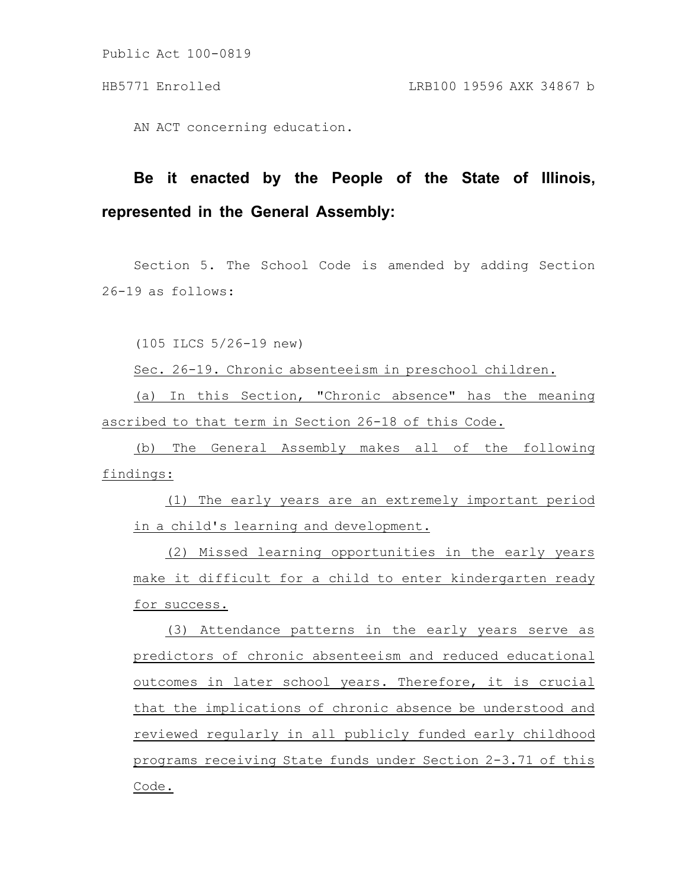Public Act 100-0819

## HB5771 Enrolled LRB100 19596 AXK 34867 b

AN ACT concerning education.

## **Be it enacted by the People of the State of Illinois, represented in the General Assembly:**

Section 5. The School Code is amended by adding Section 26-19 as follows:

(105 ILCS 5/26-19 new)

Sec. 26-19. Chronic absenteeism in preschool children.

(a) In this Section, "Chronic absence" has the meaning ascribed to that term in Section 26-18 of this Code.

(b) The General Assembly makes all of the following findings:

(1) The early years are an extremely important period in a child's learning and development.

(2) Missed learning opportunities in the early years make it difficult for a child to enter kindergarten ready for success.

(3) Attendance patterns in the early years serve as predictors of chronic absenteeism and reduced educational outcomes in later school years. Therefore, it is crucial that the implications of chronic absence be understood and reviewed regularly in all publicly funded early childhood programs receiving State funds under Section 2-3.71 of this Code.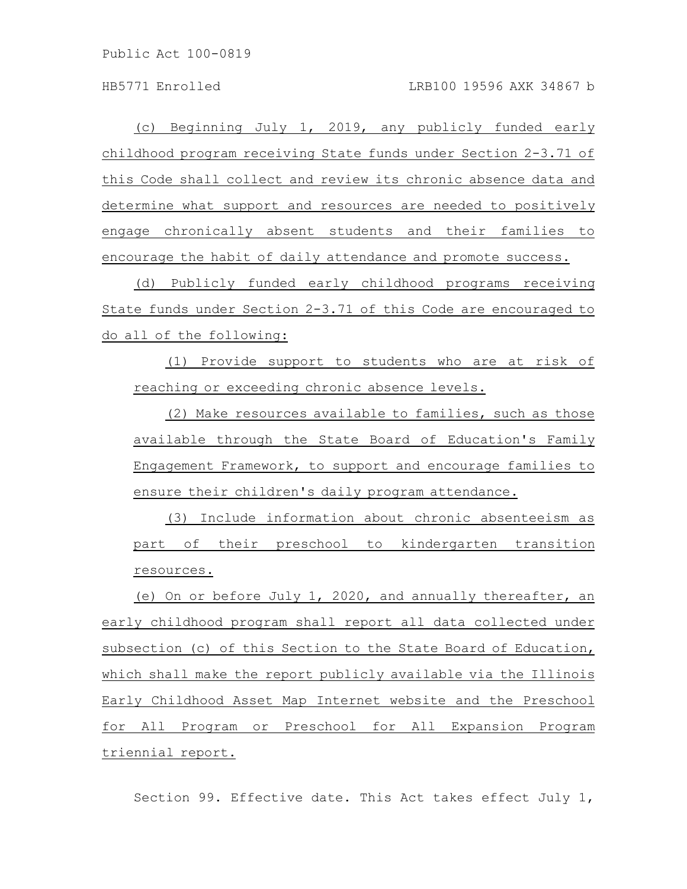Public Act 100-0819

(c) Beginning July 1, 2019, any publicly funded early childhood program receiving State funds under Section 2-3.71 of this Code shall collect and review its chronic absence data and determine what support and resources are needed to positively engage chronically absent students and their families to encourage the habit of daily attendance and promote success.

(d) Publicly funded early childhood programs receiving State funds under Section 2-3.71 of this Code are encouraged to do all of the following:

(1) Provide support to students who are at risk of reaching or exceeding chronic absence levels.

(2) Make resources available to families, such as those available through the State Board of Education's Family Engagement Framework, to support and encourage families to ensure their children's daily program attendance.

(3) Include information about chronic absenteeism as part of their preschool to kindergarten transition resources.

(e) On or before July 1, 2020, and annually thereafter, an early childhood program shall report all data collected under subsection (c) of this Section to the State Board of Education, which shall make the report publicly available via the Illinois Early Childhood Asset Map Internet website and the Preschool for All Program or Preschool for All Expansion Program triennial report.

Section 99. Effective date. This Act takes effect July 1,